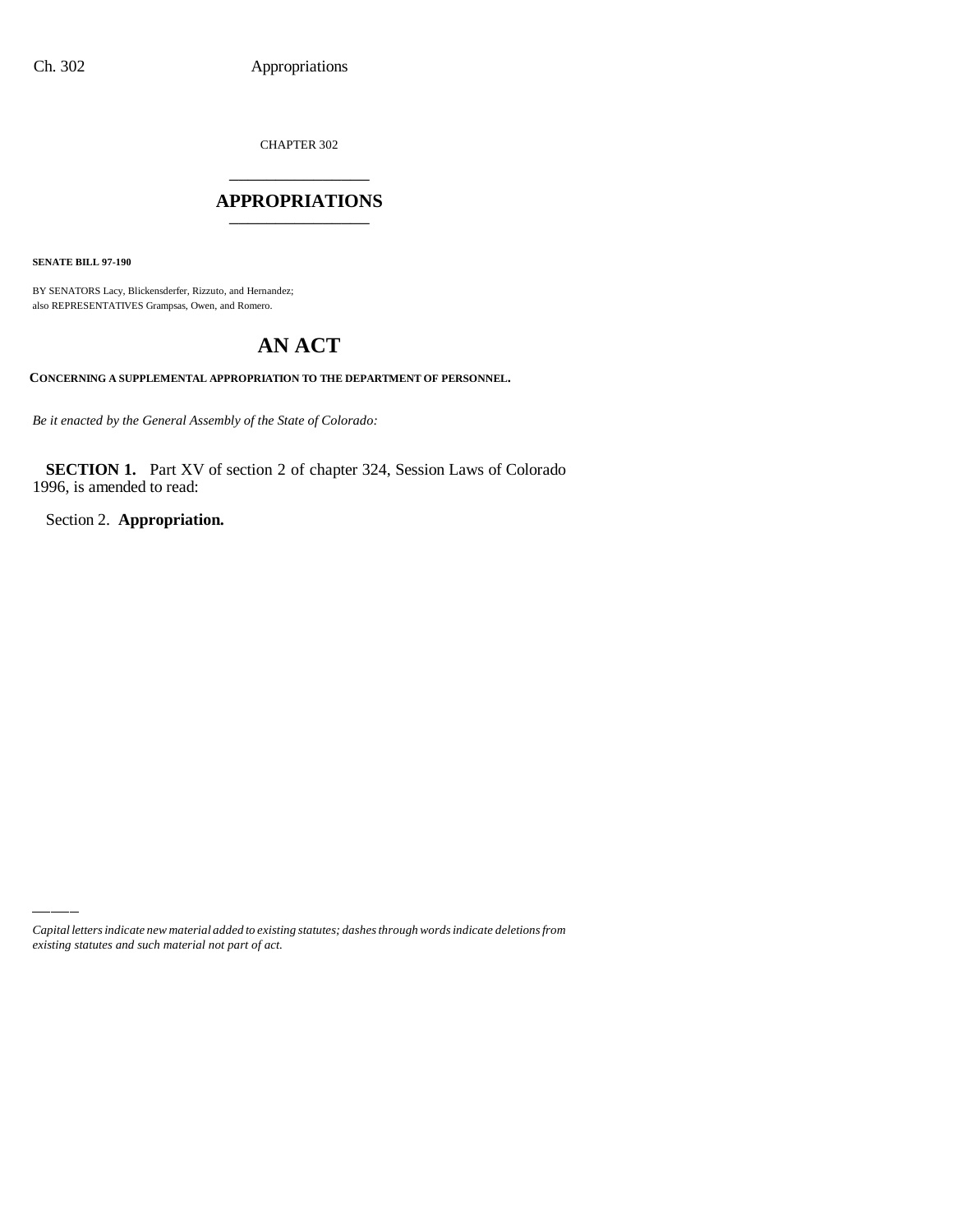CHAPTER 302 \_\_\_\_\_\_\_\_\_\_\_\_\_\_\_

### **APPROPRIATIONS** \_\_\_\_\_\_\_\_\_\_\_\_\_\_\_

**SENATE BILL 97-190**

BY SENATORS Lacy, Blickensderfer, Rizzuto, and Hernandez; also REPRESENTATIVES Grampsas, Owen, and Romero.

# **AN ACT**

**CONCERNING A SUPPLEMENTAL APPROPRIATION TO THE DEPARTMENT OF PERSONNEL.**

*Be it enacted by the General Assembly of the State of Colorado:*

**SECTION 1.** Part XV of section 2 of chapter 324, Session Laws of Colorado 1996, is amended to read:

Section 2. **Appropriation.**

*Capital letters indicate new material added to existing statutes; dashes through words indicate deletions from existing statutes and such material not part of act.*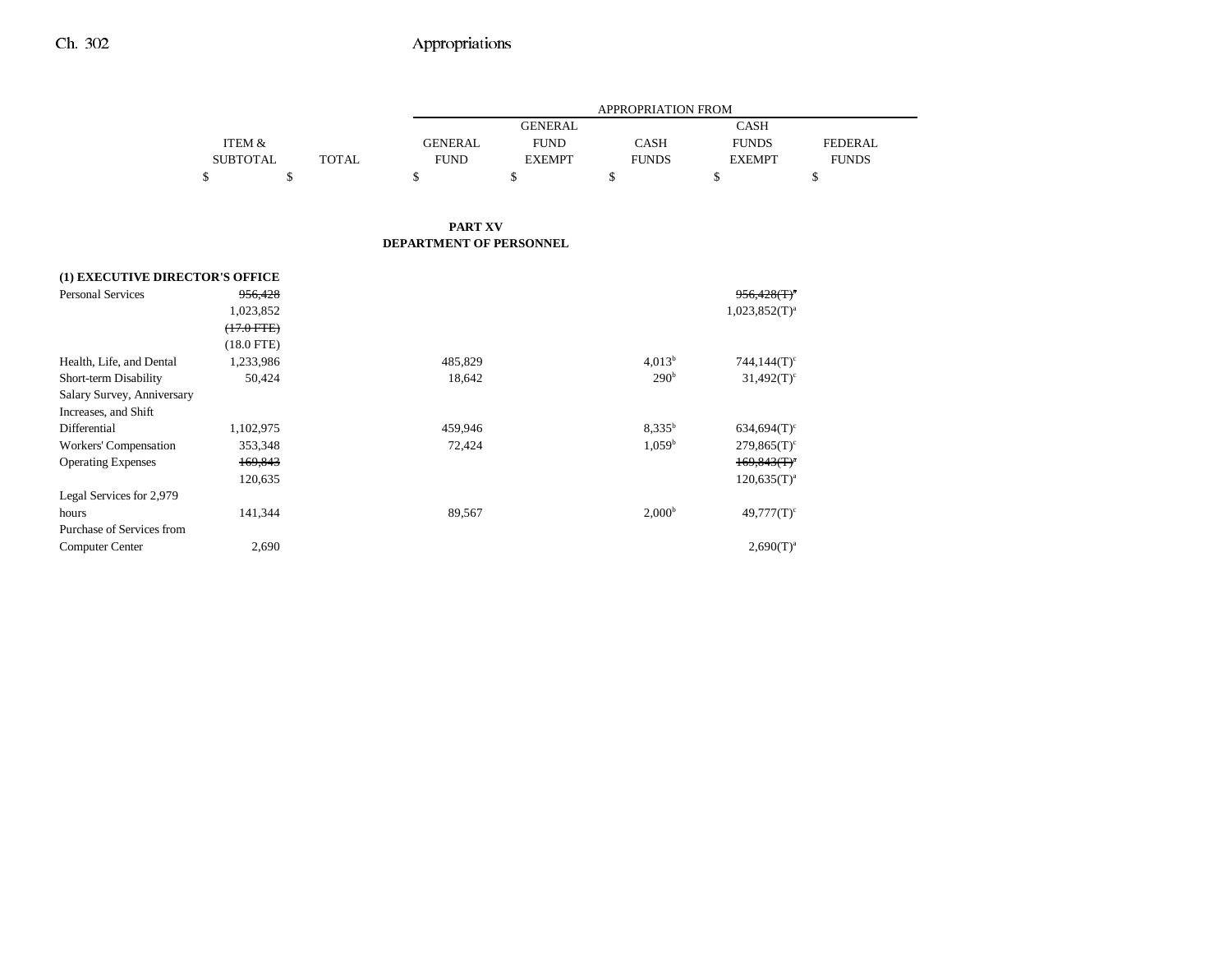|                                 |                 |              |                         |                | <b>APPROPRIATION FROM</b> |                           |                |
|---------------------------------|-----------------|--------------|-------------------------|----------------|---------------------------|---------------------------|----------------|
|                                 |                 |              |                         | <b>GENERAL</b> |                           | <b>CASH</b>               |                |
|                                 | ITEM &          |              | <b>GENERAL</b>          | <b>FUND</b>    | <b>CASH</b>               | <b>FUNDS</b>              | <b>FEDERAL</b> |
|                                 | <b>SUBTOTAL</b> | <b>TOTAL</b> | <b>FUND</b>             | <b>EXEMPT</b>  | <b>FUNDS</b>              | <b>EXEMPT</b>             | <b>FUNDS</b>   |
|                                 | \$              | \$           | \$                      | \$             | \$                        | \$                        | \$             |
|                                 |                 |              |                         |                |                           |                           |                |
|                                 |                 |              | <b>PART XV</b>          |                |                           |                           |                |
|                                 |                 |              | DEPARTMENT OF PERSONNEL |                |                           |                           |                |
| (1) EXECUTIVE DIRECTOR'S OFFICE |                 |              |                         |                |                           |                           |                |
| <b>Personal Services</b>        | 956,428         |              |                         |                |                           | $956.428(T)^4$            |                |
|                                 | 1,023,852       |              |                         |                |                           | $1,023,852(T)^{a}$        |                |
|                                 | $(17.0$ FTE $)$ |              |                         |                |                           |                           |                |
|                                 | $(18.0$ FTE)    |              |                         |                |                           |                           |                |
| Health, Life, and Dental        | 1,233,986       |              | 485,829                 |                | 4.013 <sup>b</sup>        | $744,144(T)$ <sup>c</sup> |                |
| Short-term Disability           | 50,424          |              | 18,642                  |                | 290 <sup>b</sup>          | $31,492(T)$ <sup>c</sup>  |                |
| Salary Survey, Anniversary      |                 |              |                         |                |                           |                           |                |
| Increases, and Shift            |                 |              |                         |                |                           |                           |                |
| Differential                    | 1,102,975       |              | 459,946                 |                | 8,335 <sup>b</sup>        | $634,694(T)$ <sup>c</sup> |                |
| Workers' Compensation           | 353,348         |              | 72,424                  |                | $1,059^{\rm b}$           | $279,865(T)$ <sup>c</sup> |                |
| <b>Operating Expenses</b>       | 169,843         |              |                         |                |                           | $169,843(T)^{a}$          |                |
|                                 | 120,635         |              |                         |                |                           | $120,635(T)^{a}$          |                |
| Legal Services for 2,979        |                 |              |                         |                |                           |                           |                |
| hours                           | 141,344         |              | 89,567                  |                | 2,000 <sup>b</sup>        | $49,777(T)$ <sup>c</sup>  |                |
| Purchase of Services from       |                 |              |                         |                |                           |                           |                |
| <b>Computer Center</b>          | 2,690           |              |                         |                |                           | $2,690(T)^{a}$            |                |

-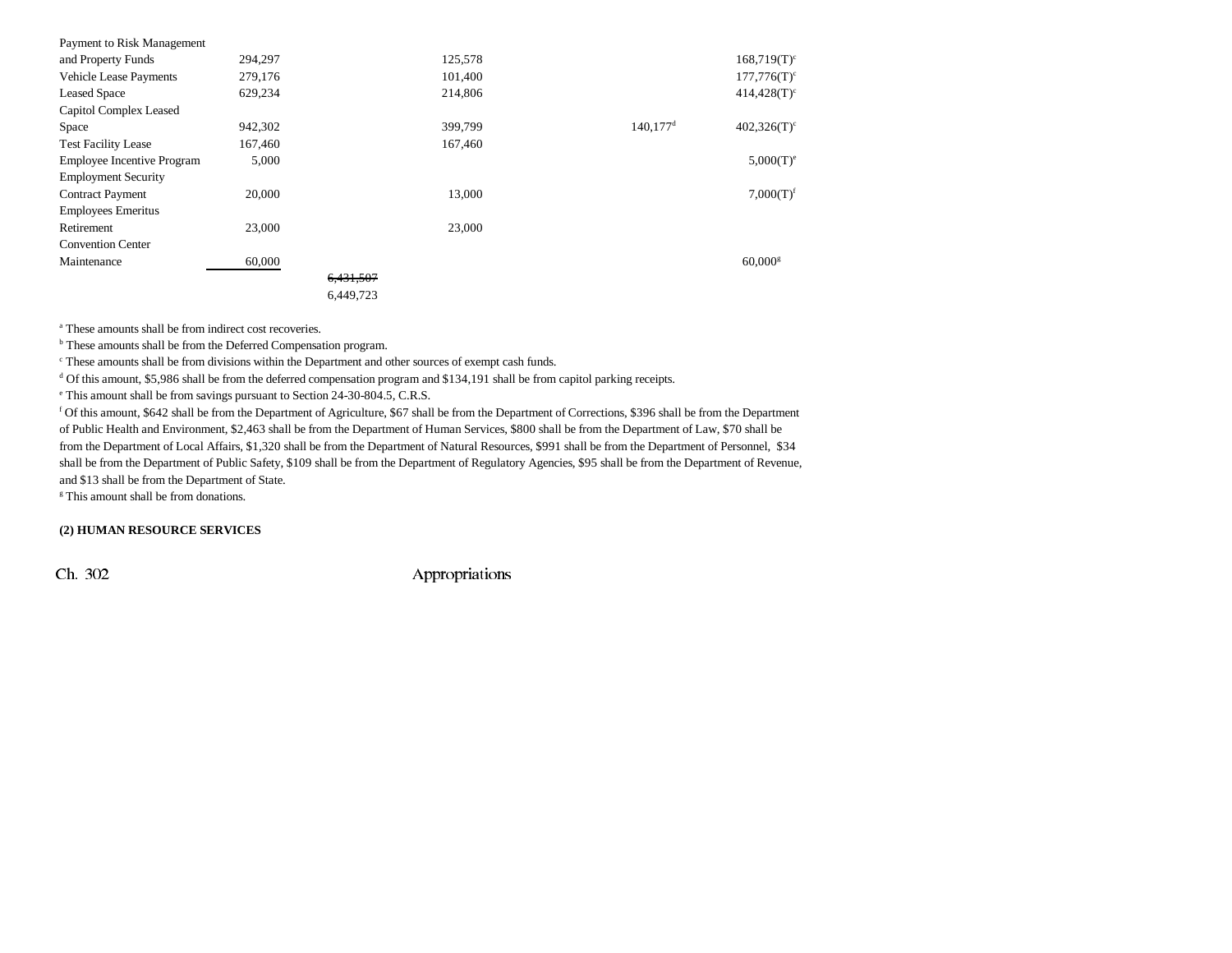| Payment to Risk Management        |         |           |         |                        |                       |
|-----------------------------------|---------|-----------|---------|------------------------|-----------------------|
| and Property Funds                | 294,297 |           | 125,578 |                        | $168,719(T)^c$        |
| <b>Vehicle Lease Payments</b>     | 279,176 |           | 101,400 |                        | $177,776(T)^c$        |
| <b>Leased Space</b>               | 629,234 |           | 214,806 |                        | $414,428(T)^c$        |
| Capitol Complex Leased            |         |           |         |                        |                       |
| Space                             | 942,302 |           | 399,799 | $140.177$ <sup>d</sup> | $402,326(T)^c$        |
| <b>Test Facility Lease</b>        | 167,460 |           | 167,460 |                        |                       |
| <b>Employee Incentive Program</b> | 5,000   |           |         |                        | $5,000(T)^e$          |
| <b>Employment Security</b>        |         |           |         |                        |                       |
| <b>Contract Payment</b>           | 20,000  |           | 13,000  |                        | 7,000(T) <sup>f</sup> |
| <b>Employees Emeritus</b>         |         |           |         |                        |                       |
| Retirement                        | 23,000  |           | 23,000  |                        |                       |
| <b>Convention Center</b>          |         |           |         |                        |                       |
| Maintenance                       | 60,000  |           |         |                        | $60,000$ <sup>g</sup> |
|                                   |         | 6,431,507 |         |                        |                       |
|                                   |         | 6,449,723 |         |                        |                       |

a These amounts shall be from indirect cost recoveries.

<sup>b</sup> These amounts shall be from the Deferred Compensation program.

c These amounts shall be from divisions within the Department and other sources of exempt cash funds.

d Of this amount, \$5,986 shall be from the deferred compensation program and \$134,191 shall be from capitol parking receipts.

e This amount shall be from savings pursuant to Section 24-30-804.5, C.R.S.

f Of this amount, \$642 shall be from the Department of Agriculture, \$67 shall be from the Department of Corrections, \$396 shall be from the Department of Public Health and Environment, \$2,463 shall be from the Department of Human Services, \$800 shall be from the Department of Law, \$70 shall be from the Department of Local Affairs, \$1,320 shall be from the Department of Natural Resources, \$991 shall be from the Department of Personnel, \$34 shall be from the Department of Public Safety, \$109 shall be from the Department of Regulatory Agencies, \$95 shall be from the Department of Revenue, and \$13 shall be from the Department of State.

<sup>g</sup> This amount shall be from donations.

#### **(2) HUMAN RESOURCE SERVICES**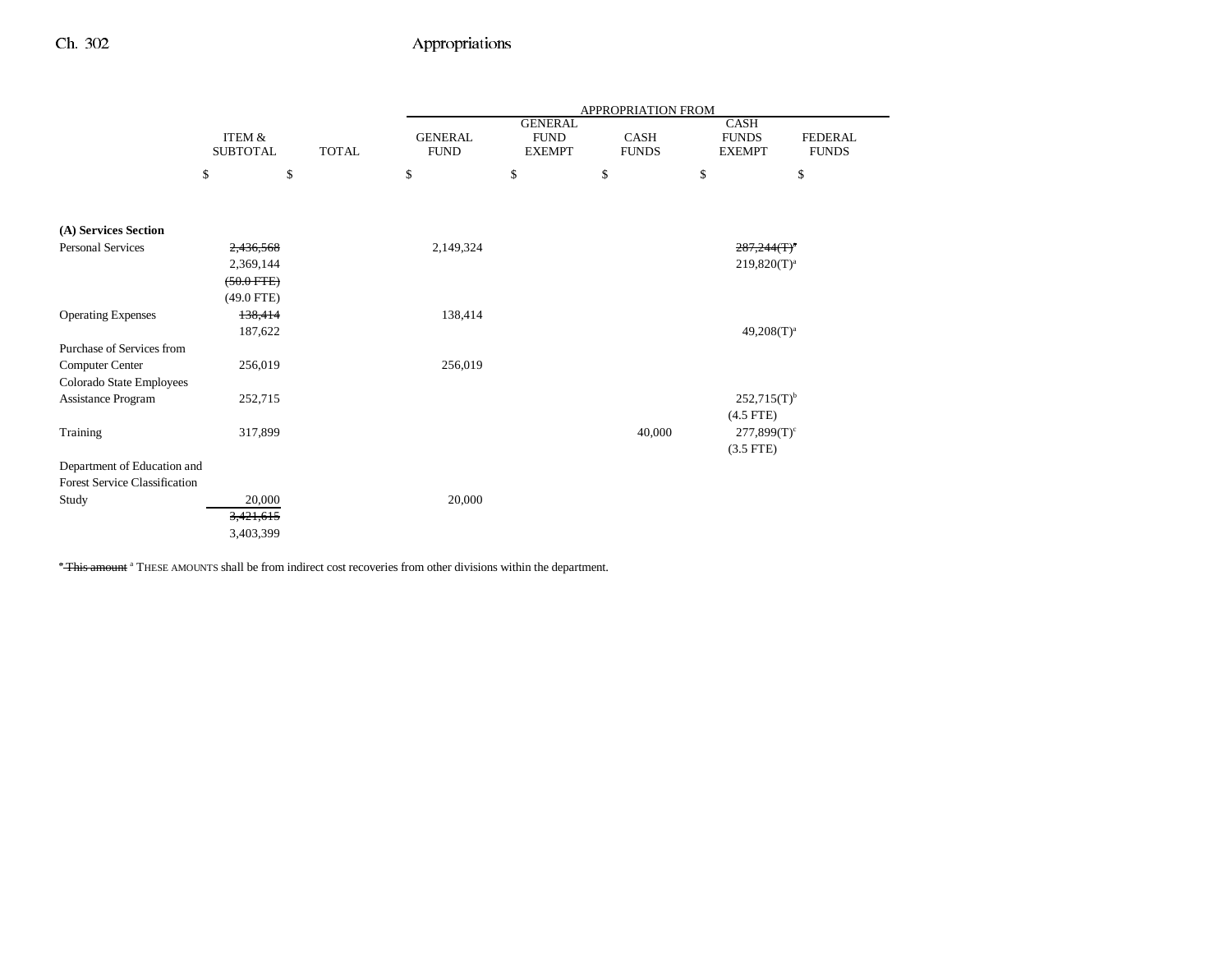|                                      |                                      |              |                               |                                                | APPROPRIATION FROM   |                                       |                                |
|--------------------------------------|--------------------------------------|--------------|-------------------------------|------------------------------------------------|----------------------|---------------------------------------|--------------------------------|
|                                      | <b>ITEM &amp;</b><br><b>SUBTOTAL</b> | <b>TOTAL</b> | <b>GENERAL</b><br><b>FUND</b> | <b>GENERAL</b><br><b>FUND</b><br><b>EXEMPT</b> | CASH<br><b>FUNDS</b> | CASH<br><b>FUNDS</b><br><b>EXEMPT</b> | <b>FEDERAL</b><br><b>FUNDS</b> |
|                                      | \$<br>\$                             |              | \$                            | \$                                             | \$                   | \$                                    | \$                             |
|                                      |                                      |              |                               |                                                |                      |                                       |                                |
| (A) Services Section                 |                                      |              |                               |                                                |                      |                                       |                                |
| <b>Personal Services</b>             | 2,436,568                            |              | 2,149,324                     |                                                |                      | $287,244(T)^{a}$                      |                                |
|                                      | 2,369,144                            |              |                               |                                                |                      | $219,820(T)^{a}$                      |                                |
|                                      | $(50.0$ FTE)                         |              |                               |                                                |                      |                                       |                                |
|                                      | $(49.0$ FTE)                         |              |                               |                                                |                      |                                       |                                |
| <b>Operating Expenses</b>            | 138,414                              |              | 138,414                       |                                                |                      |                                       |                                |
|                                      | 187,622                              |              |                               |                                                |                      | $49,208(T)^a$                         |                                |
| Purchase of Services from            |                                      |              |                               |                                                |                      |                                       |                                |
| Computer Center                      | 256,019                              |              | 256,019                       |                                                |                      |                                       |                                |
| Colorado State Employees             |                                      |              |                               |                                                |                      |                                       |                                |
| Assistance Program                   | 252,715                              |              |                               |                                                |                      | $252,715(T)^{b}$                      |                                |
|                                      |                                      |              |                               |                                                |                      | $(4.5$ FTE)                           |                                |
| Training                             | 317,899                              |              |                               |                                                | 40,000               | $277,899(T)^c$                        |                                |
|                                      |                                      |              |                               |                                                |                      | $(3.5$ FTE)                           |                                |
| Department of Education and          |                                      |              |                               |                                                |                      |                                       |                                |
| <b>Forest Service Classification</b> |                                      |              |                               |                                                |                      |                                       |                                |
| Study                                | 20,000                               |              | 20,000                        |                                                |                      |                                       |                                |
|                                      | 3,421,615                            |              |                               |                                                |                      |                                       |                                |
|                                      | 3,403,399                            |              |                               |                                                |                      |                                       |                                |

**- This amount** a THESE AMOUNTS shall be from indirect cost recoveries from other divisions within the department.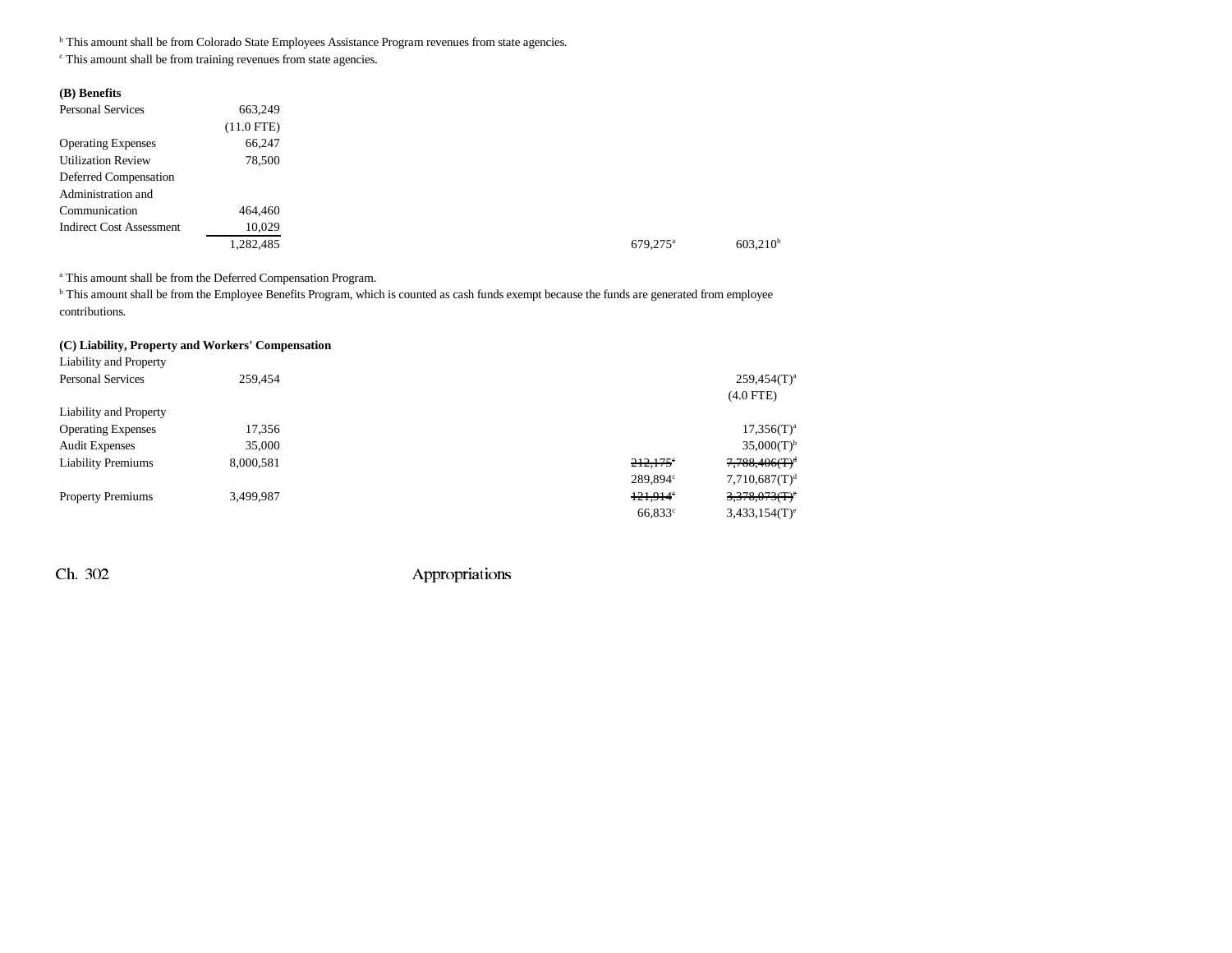<sup>b</sup> This amount shall be from Colorado State Employees Assistance Program revenues from state agencies.

c This amount shall be from training revenues from state agencies.

| 663,249      |
|--------------|
| $(11.0$ FTE) |
| 66,247       |
| 78,500       |
|              |
|              |
| 464,460      |
| 10,029       |
| 1,282,485    |
|              |

a This amount shall be from the Deferred Compensation Program.

<sup>b</sup> This amount shall be from the Employee Benefits Program, which is counted as cash funds exempt because the funds are generated from employee contributions.

#### **(C) Liability, Property and Workers' Compensation**

| Liability and Property    |           |                   |                             |
|---------------------------|-----------|-------------------|-----------------------------|
| <b>Personal Services</b>  | 259,454   |                   | $259,454(T)^a$              |
|                           |           |                   | $(4.0$ FTE)                 |
| Liability and Property    |           |                   |                             |
| <b>Operating Expenses</b> | 17,356    |                   | $17,356(T)^a$               |
| <b>Audit Expenses</b>     | 35,000    |                   | $35,000(T)^{b}$             |
| <b>Liability Premiums</b> | 8,000,581 | 212,175°          | $7,788,406(T)^d$            |
|                           |           | 289.894c          | 7,710,687(T) <sup>d</sup>   |
| <b>Property Premiums</b>  | 3,499,987 | $121.914^{\circ}$ | $3,378,073(f)$ <sup>e</sup> |
|                           |           | $66,833^{\circ}$  | $3,433,154(T)$ <sup>e</sup> |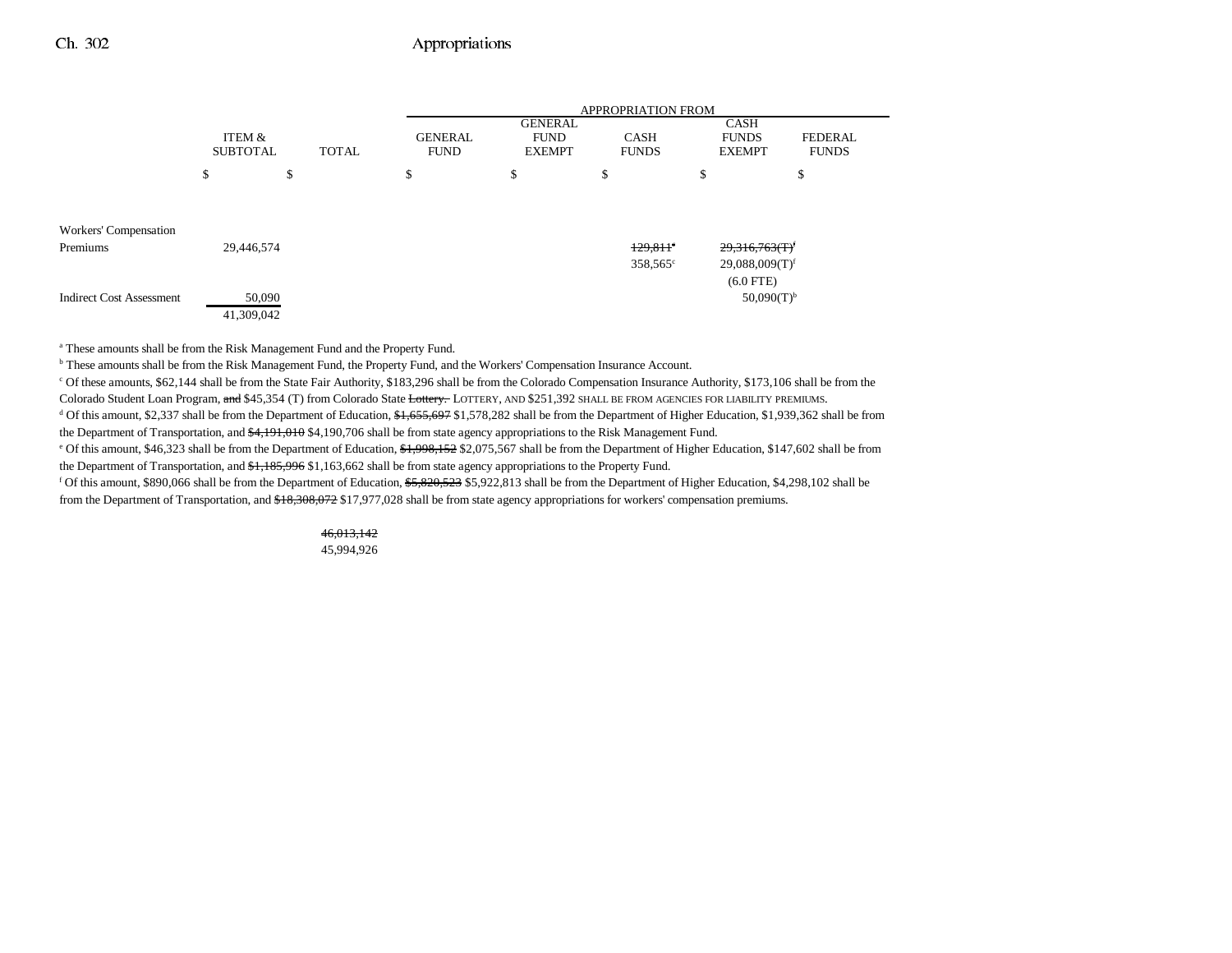|                                   |                           |              |                               |                                                | <b>APPROPRIATION FROM</b>                   |                                                                                 |                                |
|-----------------------------------|---------------------------|--------------|-------------------------------|------------------------------------------------|---------------------------------------------|---------------------------------------------------------------------------------|--------------------------------|
|                                   | ITEM &<br><b>SUBTOTAL</b> | <b>TOTAL</b> | <b>GENERAL</b><br><b>FUND</b> | <b>GENERAL</b><br><b>FUND</b><br><b>EXEMPT</b> | <b>CASH</b><br><b>FUNDS</b>                 | <b>CASH</b><br><b>FUNDS</b><br><b>EXEMPT</b>                                    | <b>FEDERAL</b><br><b>FUNDS</b> |
|                                   | \$                        | \$           | \$                            | \$                                             | ъ                                           | \$                                                                              | \$                             |
| Workers' Compensation<br>Premiums | 29,446,574                |              |                               |                                                | $129.811$ <sup>e</sup><br>$358,565^{\circ}$ | $29,316,763$ (T) <sup><math>\prime</math></sup><br>$29,088,009(T)$ <sup>f</sup> |                                |
| <b>Indirect Cost Assessment</b>   | 50,090<br>41,309,042      |              |                               |                                                |                                             | $(6.0$ FTE)<br>$50,090(T)^{b}$                                                  |                                |

a These amounts shall be from the Risk Management Fund and the Property Fund.

b These amounts shall be from the Risk Management Fund, the Property Fund, and the Workers' Compensation Insurance Account.

c Of these amounts, \$62,144 shall be from the State Fair Authority, \$183,296 shall be from the Colorado Compensation Insurance Authority, \$173,106 shall be from the Colorado Student Loan Program, and \$45,354 (T) from Colorado State Lottery. LOTTERY, AND \$251,392 SHALL BE FROM AGENCIES FOR LIABILITY PREMIUMS.

d Of this amount, \$2,337 shall be from the Department of Education, \$1,655,697 \$1,578,282 shall be from the Department of Higher Education, \$1,939,362 shall be from the Department of Transportation, and \$4,191,010 \$4,190,706 shall be from state agency appropriations to the Risk Management Fund.

<sup>e</sup> Of this amount, \$46,323 shall be from the Department of Education, \$1,998,152 \$2,075,567 shall be from the Department of Higher Education, \$147,602 shall be from the Department of Transportation, and \$1,185,996 \$1,163,662 shall be from state agency appropriations to the Property Fund.

f Of this amount, \$890,066 shall be from the Department of Education, \$5,820,523 \$5,922,813 shall be from the Department of Higher Education, \$4,298,102 shall be from the Department of Transportation, and \$18,308,072 \$17,977,028 shall be from state agency appropriations for workers' compensation premiums.

#### 46,013,142 45,994,926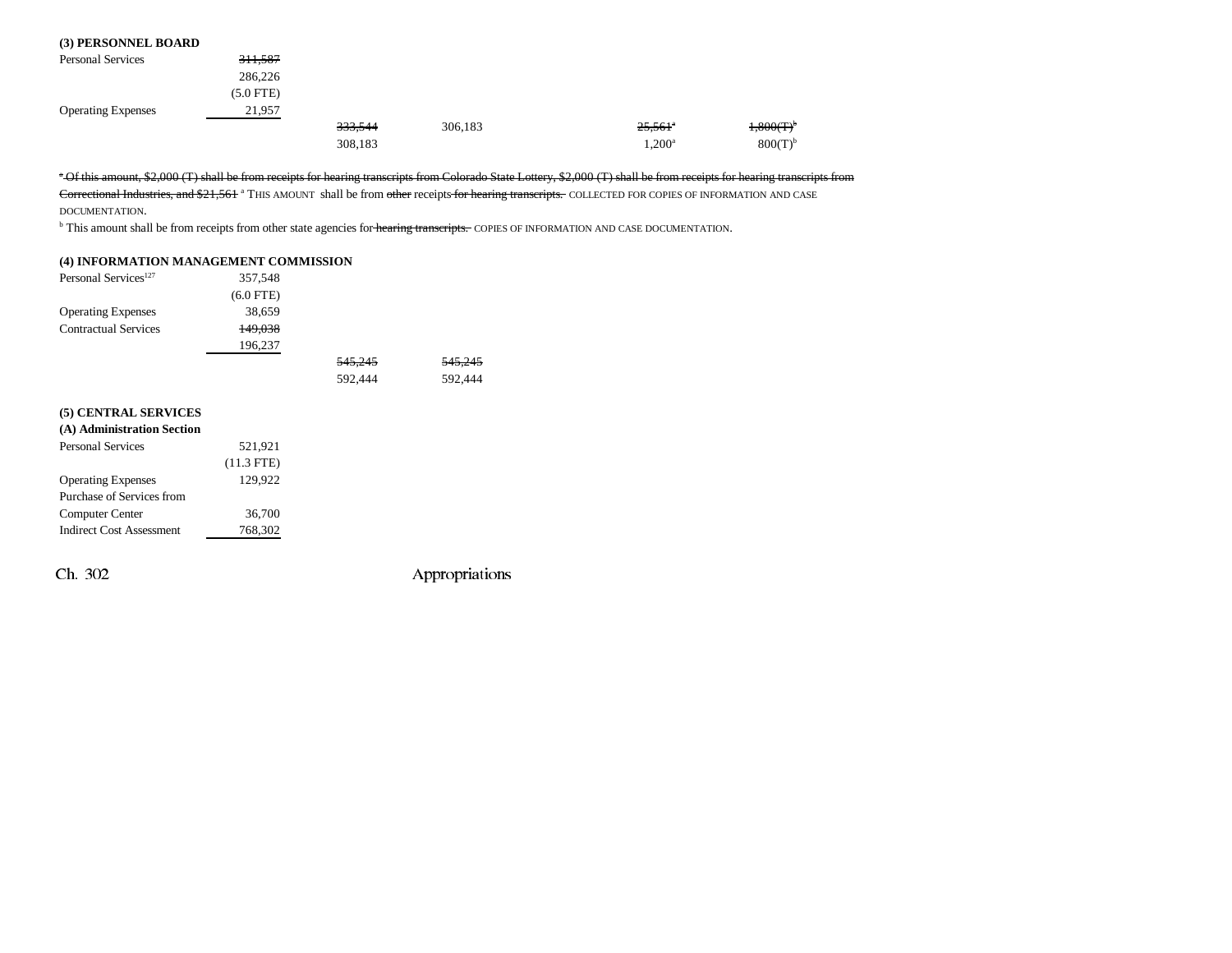#### **(3) PERSONNEL BOARD**

| <b>Personal Services</b>  | 311,587     |         |         |                       |                       |
|---------------------------|-------------|---------|---------|-----------------------|-----------------------|
|                           | 286,226     |         |         |                       |                       |
|                           | $(5.0$ FTE) |         |         |                       |                       |
| <b>Operating Expenses</b> | 21,957      |         |         |                       |                       |
|                           |             | 333,544 | 306,183 | $25.561$ <sup>a</sup> | $1,800(T)^{b}$        |
|                           |             | 308,183 |         | $1,200^{\rm a}$       | $800(T)$ <sup>b</sup> |

a Of this amount, \$2,000 (T) shall be from receipts for hearing transcripts from Colorado State Lottery, \$2,000 (T) shall be from receipts for hearing transcripts from

Correctional Industries, and \$21,561 a THIS AMOUNT shall be from other receipts for hearing transcripts. COLLECTED FOR COPIES OF INFORMATION AND CASE

DOCUMENTATION.

b This amount shall be from receipts from other state agencies for hearing transcripts. COPIES OF INFORMATION AND CASE DOCUMENTATION.

#### **(4) INFORMATION MANAGEMENT COMMISSION**

| Personal Services <sup>127</sup> | 357,548      |                    |         |
|----------------------------------|--------------|--------------------|---------|
|                                  | $(6.0$ FTE)  |                    |         |
| <b>Operating Expenses</b>        | 38,659       |                    |         |
| <b>Contractual Services</b>      | 149,038      |                    |         |
|                                  | 196,237      |                    |         |
|                                  |              | <del>545,245</del> | 545.245 |
|                                  |              | 592,444            | 592,444 |
| (5) CENTRAL SERVICES             |              |                    |         |
| (A) Administration Section       |              |                    |         |
| <b>Personal Services</b>         | 521,921      |                    |         |
|                                  | $(11.3$ FTE) |                    |         |
| <b>Operating Expenses</b>        | 129,922      |                    |         |
| Purchase of Services from        |              |                    |         |
| Computer Center                  | 36,700       |                    |         |
| <b>Indirect Cost Assessment</b>  | 768,302      |                    |         |
|                                  |              |                    |         |
|                                  |              |                    |         |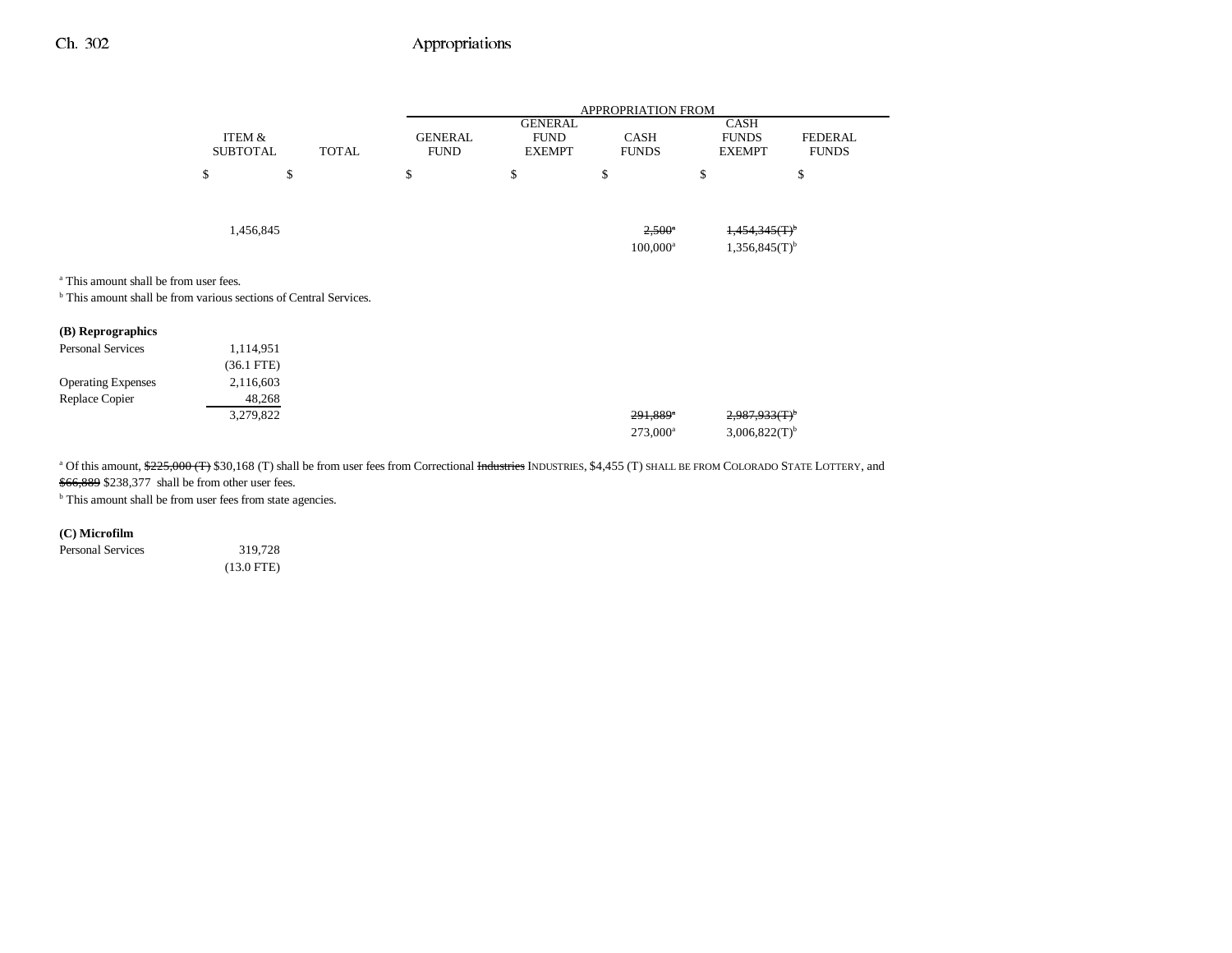|                                                                                                                                   |                              |              |                               |                                                | APPROPRIATION FROM                   |                                                             |                                |
|-----------------------------------------------------------------------------------------------------------------------------------|------------------------------|--------------|-------------------------------|------------------------------------------------|--------------------------------------|-------------------------------------------------------------|--------------------------------|
|                                                                                                                                   | ITEM &<br><b>SUBTOTAL</b>    | <b>TOTAL</b> | <b>GENERAL</b><br><b>FUND</b> | <b>GENERAL</b><br><b>FUND</b><br><b>EXEMPT</b> | <b>CASH</b><br><b>FUNDS</b>          | <b>CASH</b><br><b>FUNDS</b><br><b>EXEMPT</b>                | <b>FEDERAL</b><br><b>FUNDS</b> |
|                                                                                                                                   | \$                           | \$           | \$                            | \$                                             | \$                                   | \$                                                          | \$                             |
| <sup>a</sup> This amount shall be from user fees.<br><sup>b</sup> This amount shall be from various sections of Central Services. | 1,456,845                    |              |                               |                                                | $2,500^{\circ}$<br>$100,000^{\rm a}$ | $1,454,345$ (T) <sup>b</sup><br>$1,356,845(T)$ <sup>b</sup> |                                |
| (B) Reprographics                                                                                                                 |                              |              |                               |                                                |                                      |                                                             |                                |
| Personal Services                                                                                                                 | 1,114,951<br>$(36.1$ FTE $)$ |              |                               |                                                |                                      |                                                             |                                |
| <b>Operating Expenses</b>                                                                                                         | 2,116,603                    |              |                               |                                                |                                      |                                                             |                                |
| Replace Copier                                                                                                                    | 48,268<br>3,279,822          |              |                               |                                                | 291,889*<br>$273,000^a$              | $2,987,933$ (T) <sup>b</sup><br>$3,006,822(T)$ <sup>b</sup> |                                |

<sup>a</sup> Of this amount, \$225,000 (T) \$30,168 (T) shall be from user fees from Correctional Industries INDUSTRIES, \$4,455 (T) SHALL BE FROM COLORADO STATE LOTTERY, and \$66,889 \$238,377 shall be from other user fees.

 $^{\rm b}$  This amount shall be from user fees from state agencies.

**(C) Microfilm**

Personal Services 319,728

(13.0 FTE)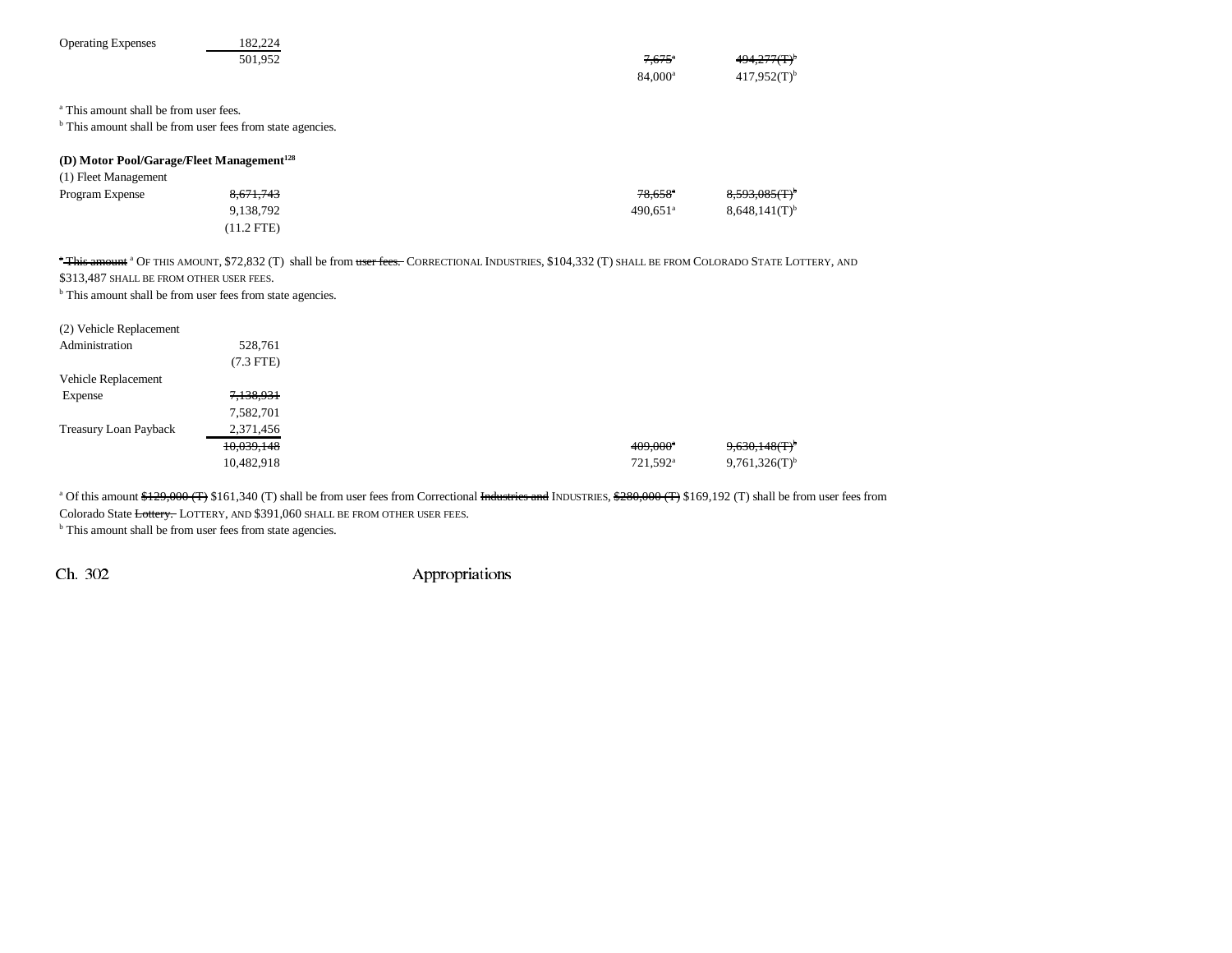| <b>Operating Expenses</b>                                             | 182,224      |                                                                                                                                                                  |                        |                               |
|-----------------------------------------------------------------------|--------------|------------------------------------------------------------------------------------------------------------------------------------------------------------------|------------------------|-------------------------------|
|                                                                       | 501,952      |                                                                                                                                                                  | $7,675$ <sup>a</sup>   | 494.277(T) <sup>b</sup>       |
|                                                                       |              |                                                                                                                                                                  | 84,000 <sup>a</sup>    | $417,952(T)$ <sup>b</sup>     |
|                                                                       |              |                                                                                                                                                                  |                        |                               |
| <sup>a</sup> This amount shall be from user fees.                     |              |                                                                                                                                                                  |                        |                               |
| <sup>b</sup> This amount shall be from user fees from state agencies. |              |                                                                                                                                                                  |                        |                               |
| (D) Motor Pool/Garage/Fleet Management <sup>128</sup>                 |              |                                                                                                                                                                  |                        |                               |
| (1) Fleet Management                                                  |              |                                                                                                                                                                  |                        |                               |
| Program Expense                                                       | 8,671,743    |                                                                                                                                                                  | $78.658$ <sup>*</sup>  | $8,593,085$ $\rm (T)^{\rm b}$ |
|                                                                       | 9,138,792    |                                                                                                                                                                  | $490.651$ <sup>a</sup> | $8,648,141(T)$ <sup>b</sup>   |
|                                                                       | $(11.2$ FTE) |                                                                                                                                                                  |                        |                               |
|                                                                       |              |                                                                                                                                                                  |                        |                               |
|                                                                       |              | "This amount <sup>a</sup> Of this amount, \$72,832 (T) shall be from user fees. Correctional Industries, \$104,332 (T) shall be from Colorado State Lottery, and |                        |                               |
| \$313,487 SHALL BE FROM OTHER USER FEES.                              |              |                                                                                                                                                                  |                        |                               |
| <sup>b</sup> This amount shall be from user fees from state agencies. |              |                                                                                                                                                                  |                        |                               |
| (2) Vehicle Replacement                                               |              |                                                                                                                                                                  |                        |                               |
| Administration                                                        | 528,761      |                                                                                                                                                                  |                        |                               |
|                                                                       | $(7.3$ FTE)  |                                                                                                                                                                  |                        |                               |
| Vehicle Replacement                                                   |              |                                                                                                                                                                  |                        |                               |
| Expense                                                               | 7,138,931    |                                                                                                                                                                  |                        |                               |
|                                                                       | 7,582,701    |                                                                                                                                                                  |                        |                               |
| Treasury Loan Payback                                                 | 2,371,456    |                                                                                                                                                                  |                        |                               |
|                                                                       | 10,039,148   |                                                                                                                                                                  | $409.000$ <sup>a</sup> | <del>9,630,148(T)</del>       |
|                                                                       | 10,482,918   |                                                                                                                                                                  | 721,592 <sup>a</sup>   | $9,761,326(T)$ <sup>b</sup>   |
|                                                                       |              |                                                                                                                                                                  |                        |                               |

<sup>a</sup> Of this amount \$129,000 (T) \$161,340 (T) shall be from user fees from Correctional Industries and INDUSTRIES, \$280,000 (T) \$169,192 (T) shall be from user fees from

Colorado State Lottery. LOTTERY, AND \$391,060 SHALL BE FROM OTHER USER FEES.

<sup>b</sup> This amount shall be from user fees from state agencies.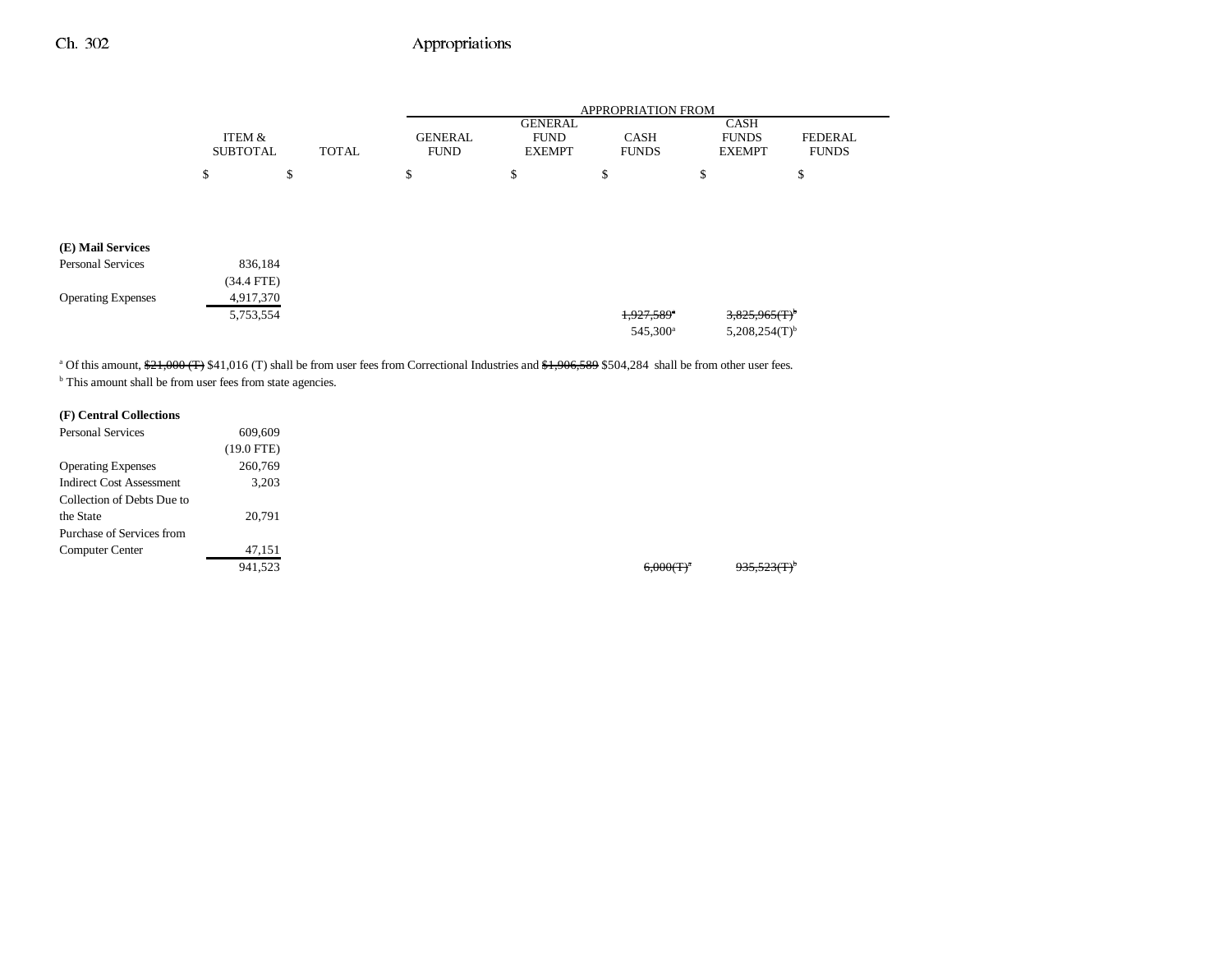|                           |                           |              |                               |                                                | <b>APPROPRIATION FROM</b>   |                                              |                         |
|---------------------------|---------------------------|--------------|-------------------------------|------------------------------------------------|-----------------------------|----------------------------------------------|-------------------------|
|                           | ITEM &<br><b>SUBTOTAL</b> | <b>TOTAL</b> | <b>GENERAL</b><br><b>FUND</b> | <b>GENERAL</b><br><b>FUND</b><br><b>EXEMPT</b> | <b>CASH</b><br><b>FUNDS</b> | <b>CASH</b><br><b>FUNDS</b><br><b>EXEMPT</b> | FEDERAL<br><b>FUNDS</b> |
|                           | \$                        | \$           | \$                            | \$                                             | \$                          | \$                                           | \$                      |
|                           |                           |              |                               |                                                |                             |                                              |                         |
| (E) Mail Services         |                           |              |                               |                                                |                             |                                              |                         |
| <b>Personal Services</b>  | 836,184                   |              |                               |                                                |                             |                                              |                         |
|                           | $(34.4$ FTE)              |              |                               |                                                |                             |                                              |                         |
| <b>Operating Expenses</b> | 4,917,370                 |              |                               |                                                |                             |                                              |                         |
|                           | 5,753,554                 |              |                               |                                                | 1,927,589*                  | $3,825,965$ (T) <sup>b</sup>                 |                         |
|                           |                           |              |                               |                                                | 545,300 <sup>a</sup>        | $5,208,254(T)$ <sup>b</sup>                  |                         |

<sup>a</sup> Of this amount,  $\frac{21,000}{T}$  \$41,016 (T) shall be from user fees from Correctional Industries and <del>\$1,906,589</del> \$504,284 shall be from other user fees. <sup>b</sup> This amount shall be from user fees from state agencies.

## **(F) Central Collections**

| <b>Personal Services</b>        | 609,609      |  |
|---------------------------------|--------------|--|
|                                 | $(19.0$ FTE) |  |
| <b>Operating Expenses</b>       | 260,769      |  |
| <b>Indirect Cost Assessment</b> | 3,203        |  |
| Collection of Debts Due to      |              |  |
| the State                       | 20,791       |  |
| Purchase of Services from       |              |  |
| Computer Center                 | 47,151       |  |
|                                 | 941.523      |  |

 $6,000(T)^a$  935,523(T)<sup>b</sup>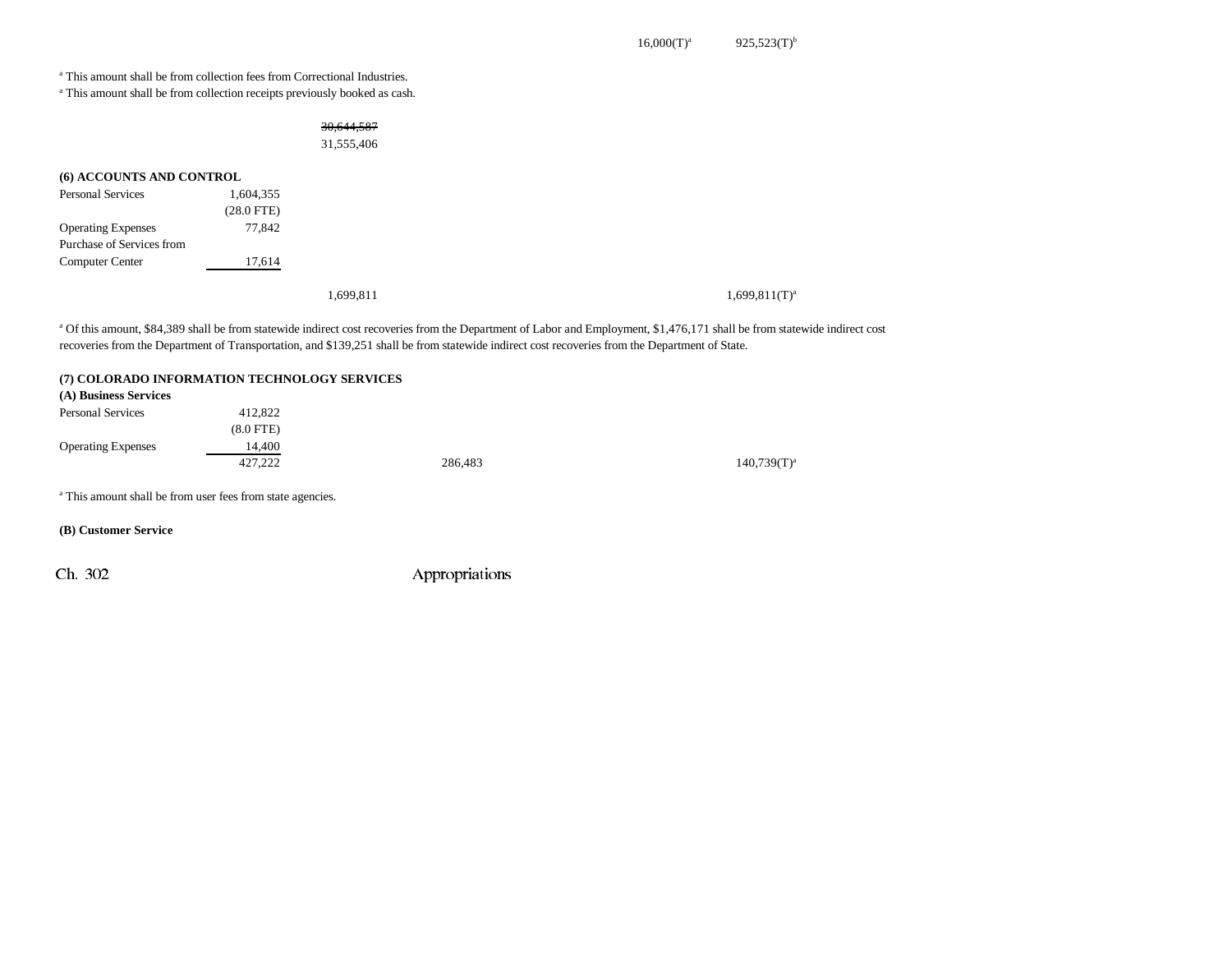a This amount shall be from collection fees from Correctional Industries.

a This amount shall be from collection receipts previously booked as cash.

### 30,644,587 31,555,406

| (6) ACCOUNTS AND CONTROL  |                 |           |                    |
|---------------------------|-----------------|-----------|--------------------|
| <b>Personal Services</b>  | 1,604,355       |           |                    |
|                           | $(28.0$ FTE $)$ |           |                    |
| <b>Operating Expenses</b> | 77,842          |           |                    |
| Purchase of Services from |                 |           |                    |
| <b>Computer Center</b>    | 17,614          |           |                    |
|                           |                 |           |                    |
|                           |                 | 1.699.811 | $1,699,811(T)^{3}$ |

a Of this amount, \$84,389 shall be from statewide indirect cost recoveries from the Department of Labor and Employment, \$1,476,171 shall be from statewide indirect cost recoveries from the Department of Transportation, and \$139,251 shall be from statewide indirect cost recoveries from the Department of State.

#### **(7) COLORADO INFORMATION TECHNOLOGY SERVICES**

| (A) Business Services     |             |         |                  |
|---------------------------|-------------|---------|------------------|
| <b>Personal Services</b>  | 412,822     |         |                  |
|                           | $(8.0$ FTE) |         |                  |
| <b>Operating Expenses</b> | 14,400      |         |                  |
|                           | 427,222     | 286,483 | $140,739(T)^{3}$ |
|                           |             |         |                  |

a This amount shall be from user fees from state agencies.

**(B) Customer Service**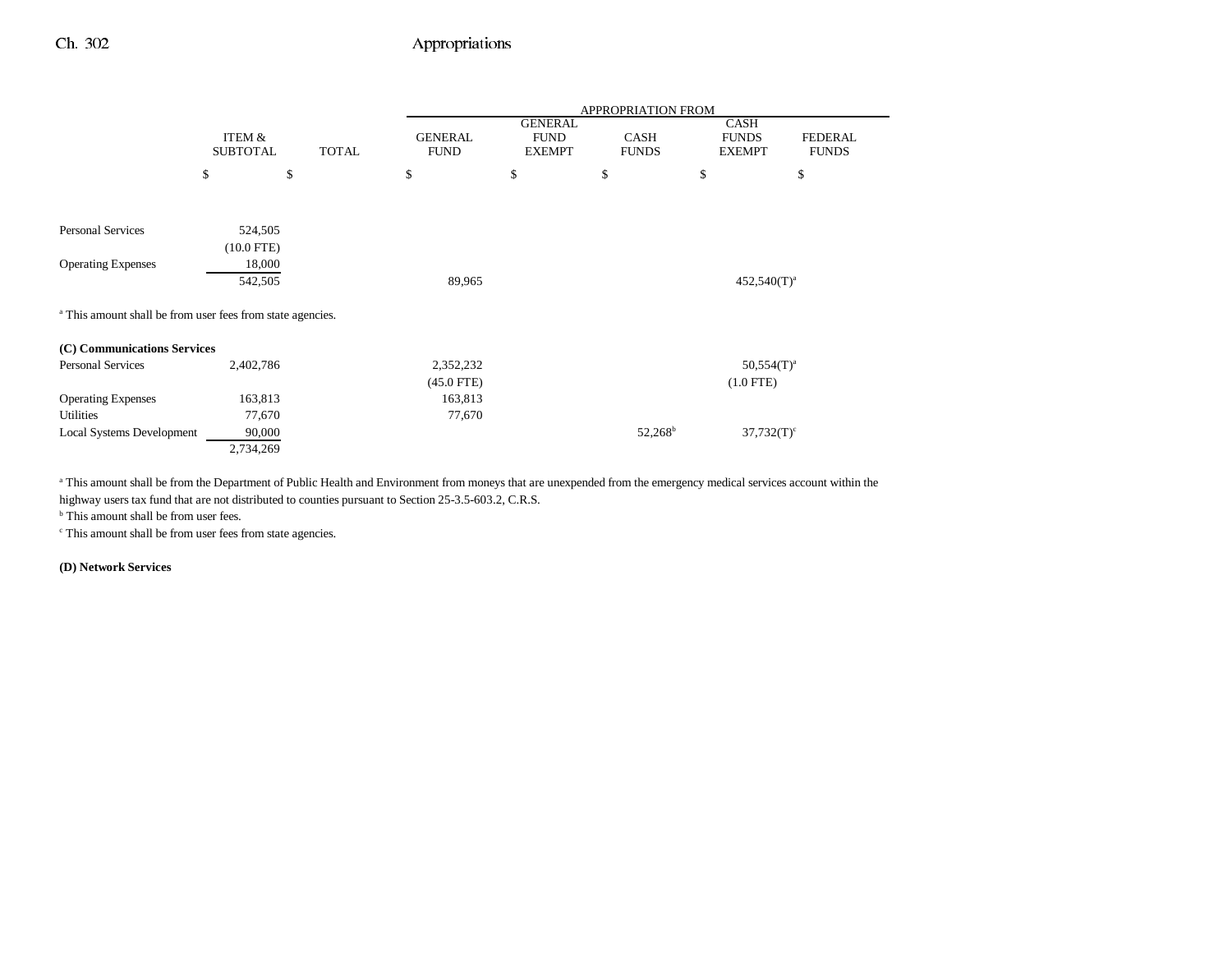|                                                                       |                 |              |                |                               | APPROPRIATION FROM |                             |                |
|-----------------------------------------------------------------------|-----------------|--------------|----------------|-------------------------------|--------------------|-----------------------------|----------------|
|                                                                       | ITEM &          |              | <b>GENERAL</b> | <b>GENERAL</b><br><b>FUND</b> | <b>CASH</b>        | <b>CASH</b><br><b>FUNDS</b> | <b>FEDERAL</b> |
|                                                                       | <b>SUBTOTAL</b> | <b>TOTAL</b> | <b>FUND</b>    | <b>EXEMPT</b>                 | <b>FUNDS</b>       | <b>EXEMPT</b>               | <b>FUNDS</b>   |
|                                                                       | \$              | \$           | \$             | \$                            | \$                 | \$                          | \$             |
|                                                                       |                 |              |                |                               |                    |                             |                |
| <b>Personal Services</b>                                              | 524,505         |              |                |                               |                    |                             |                |
|                                                                       | $(10.0$ FTE)    |              |                |                               |                    |                             |                |
| <b>Operating Expenses</b>                                             | 18,000          |              |                |                               |                    |                             |                |
|                                                                       | 542,505         |              | 89,965         |                               |                    | $452,540(T)^{a}$            |                |
| <sup>a</sup> This amount shall be from user fees from state agencies. |                 |              |                |                               |                    |                             |                |
| (C) Communications Services                                           |                 |              |                |                               |                    |                             |                |
| Personal Services                                                     | 2,402,786       |              | 2,352,232      |                               |                    | $50,554(T)^a$               |                |
|                                                                       |                 |              | $(45.0$ FTE)   |                               |                    | $(1.0$ FTE)                 |                |
| <b>Operating Expenses</b>                                             | 163,813         |              | 163,813        |                               |                    |                             |                |
| Utilities                                                             | 77,670          |              | 77,670         |                               |                    |                             |                |
| <b>Local Systems Development</b>                                      | 90,000          |              |                |                               | $52,268^{\rm b}$   | $37,732(T)^c$               |                |
|                                                                       | 2,734,269       |              |                |                               |                    |                             |                |

<sup>a</sup> This amount shall be from the Department of Public Health and Environment from moneys that are unexpended from the emergency medical services account within the

highway users tax fund that are not distributed to counties pursuant to Section 25-3.5-603.2, C.R.S.

<sup>b</sup> This amount shall be from user fees.

c This amount shall be from user fees from state agencies.

**(D) Network Services**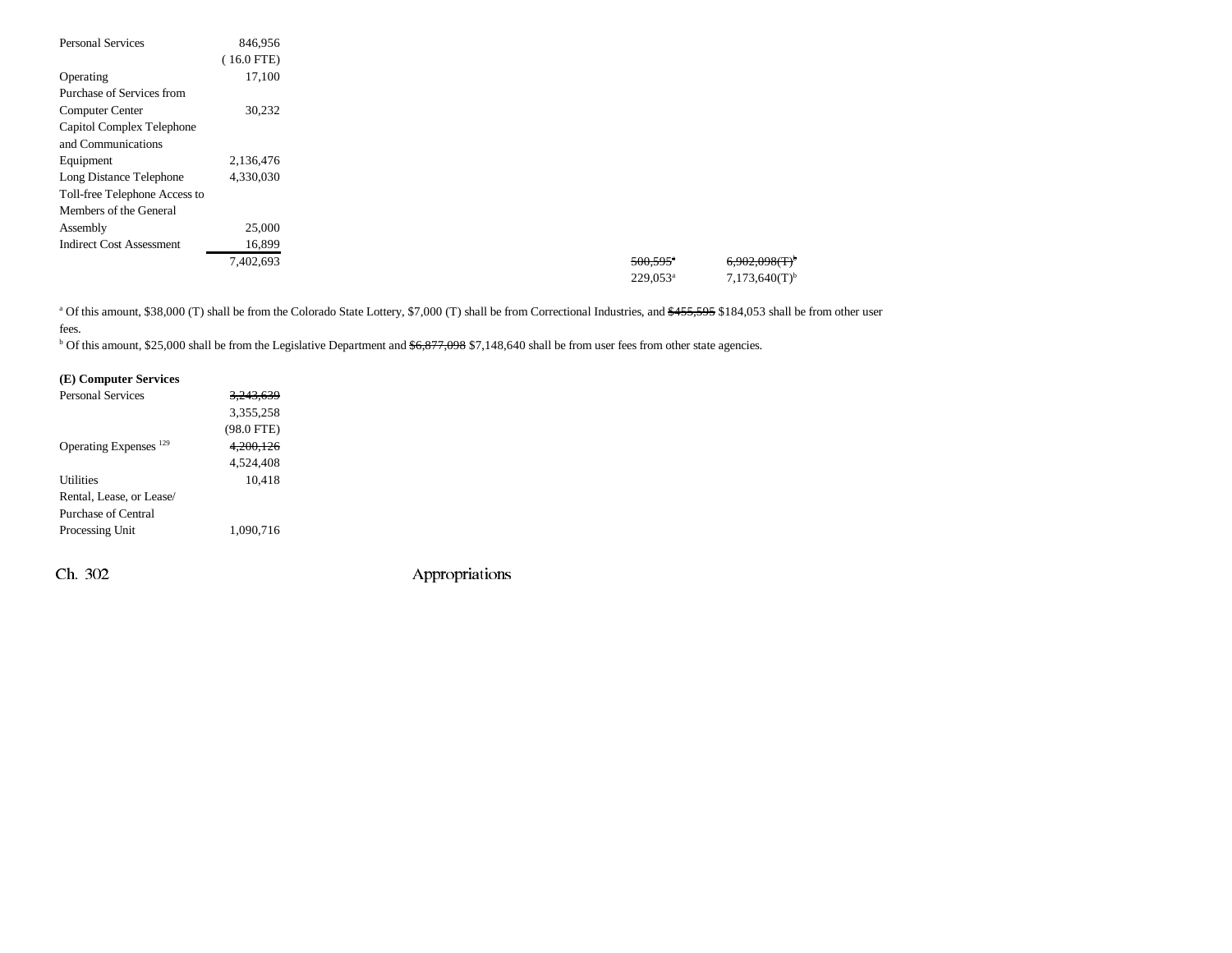| <b>Personal Services</b>        | 846,956   |
|---------------------------------|-----------|
|                                 | 16.0 FTE) |
| Operating                       | 17,100    |
| Purchase of Services from       |           |
| Computer Center                 | 30,232    |
| Capitol Complex Telephone       |           |
| and Communications              |           |
| Equipment                       | 2,136,476 |
| Long Distance Telephone         | 4,330,030 |
| Toll-free Telephone Access to   |           |
| Members of the General          |           |
| Assembly                        | 25,000    |
| <b>Indirect Cost Assessment</b> | 16,899    |
|                                 | 7,402,693 |
|                                 |           |

<sup>a</sup> Of this amount, \$38,000 (T) shall be from the Colorado State Lottery, \$7,000 (T) shall be from Correctional Industries, and \$455,595 \$184,053 shall be from other user fees.

<sup>b</sup> Of this amount, \$25,000 shall be from the Legislative Department and <del>\$6,877,098</del> \$7,148,640 shall be from user fees from other state agencies.

### **(E) Computer Services**

| <b>Personal Services</b> | <del>3 243 639</del> |  |
|--------------------------|----------------------|--|
|                          | 3,355,258            |  |
|                          | $(98.0$ FTE)         |  |
| Operating Expenses $129$ | 4.200.126            |  |
|                          | 4,524,408            |  |
| Utilities                | 10.418               |  |
| Rental, Lease, or Lease/ |                      |  |
| Purchase of Central      |                      |  |
| Processing Unit          | 1.090.716            |  |
|                          |                      |  |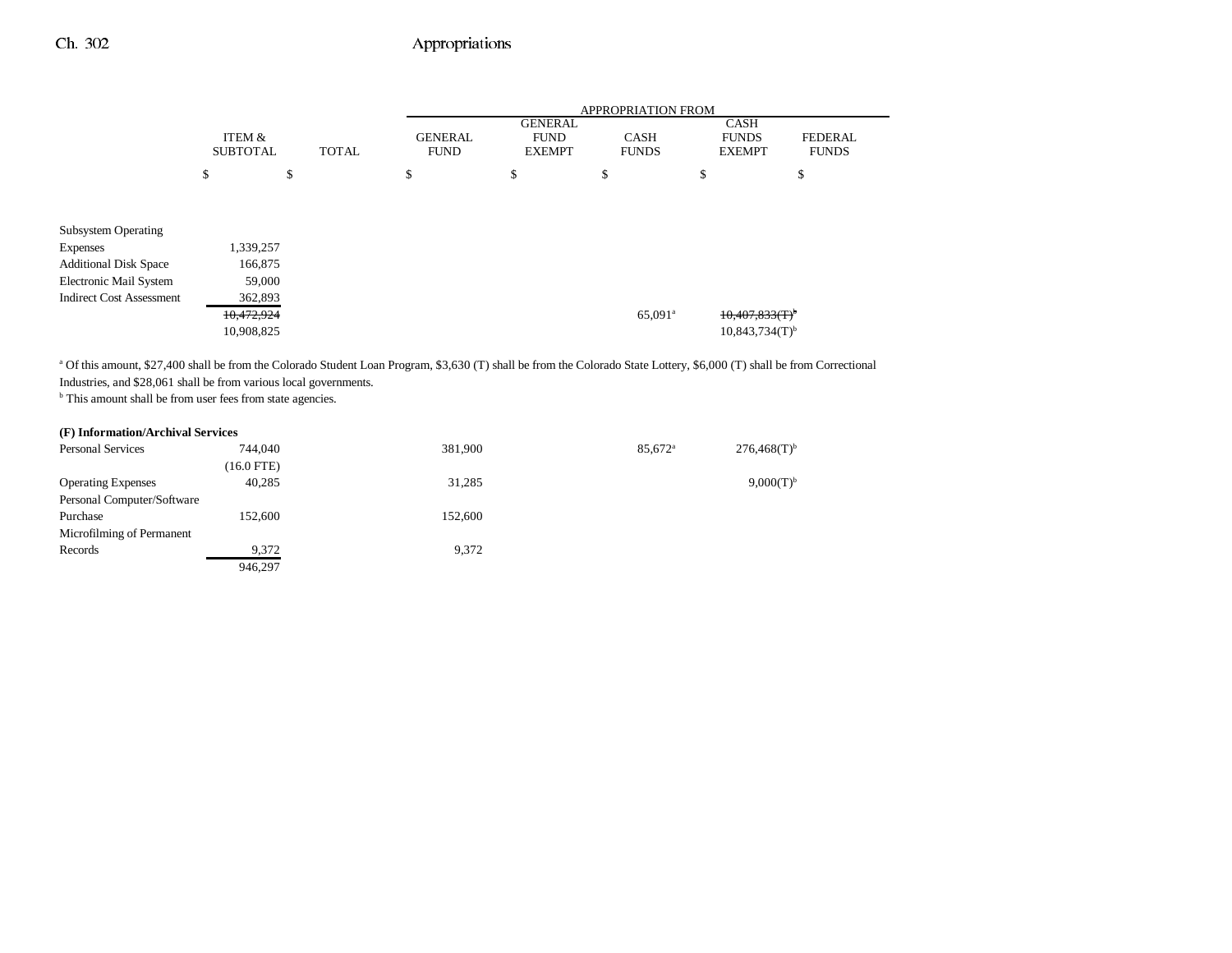|                                 | ITEM &<br><b>SUBTOTAL</b><br><b>TOTAL</b> |    | <b>APPROPRIATION FROM</b> |                               |                                                |                             |    |                                              |                                |
|---------------------------------|-------------------------------------------|----|---------------------------|-------------------------------|------------------------------------------------|-----------------------------|----|----------------------------------------------|--------------------------------|
|                                 |                                           |    |                           | <b>GENERAL</b><br><b>FUND</b> | <b>GENERAL</b><br><b>FUND</b><br><b>EXEMPT</b> | <b>CASH</b><br><b>FUNDS</b> |    | <b>CASH</b><br><b>FUNDS</b><br><b>EXEMPT</b> | <b>FEDERAL</b><br><b>FUNDS</b> |
|                                 | \$                                        | \$ |                           | \$                            | \$                                             | \$                          | \$ |                                              | \$                             |
|                                 |                                           |    |                           |                               |                                                |                             |    |                                              |                                |
| <b>Subsystem Operating</b>      |                                           |    |                           |                               |                                                |                             |    |                                              |                                |
| <b>Expenses</b>                 | 1,339,257                                 |    |                           |                               |                                                |                             |    |                                              |                                |
| <b>Additional Disk Space</b>    | 166,875                                   |    |                           |                               |                                                |                             |    |                                              |                                |
| Electronic Mail System          | 59,000                                    |    |                           |                               |                                                |                             |    |                                              |                                |
| <b>Indirect Cost Assessment</b> | 362,893                                   |    |                           |                               |                                                |                             |    |                                              |                                |
|                                 | 10,472,924                                |    |                           |                               |                                                | 65,091 <sup>a</sup>         |    | 10,407,833(T)                                |                                |
|                                 | 10,908,825                                |    |                           |                               |                                                |                             |    | $10,843,734(T)$ <sup>b</sup>                 |                                |

a Of this amount, \$27,400 shall be from the Colorado Student Loan Program, \$3,630 (T) shall be from the Colorado State Lottery, \$6,000 (T) shall be from Correctional Industries, and \$28,061 shall be from various local governments.

<sup>b</sup> This amount shall be from user fees from state agencies.

#### **(F) Information/Archival Services**

| <b>Personal Services</b>   | 744,040      | 381,900 | $85.672$ <sup>a</sup> | $276,468(T)$ <sup>b</sup> |
|----------------------------|--------------|---------|-----------------------|---------------------------|
|                            | $(16.0$ FTE) |         |                       |                           |
| <b>Operating Expenses</b>  | 40.285       | 31,285  |                       | $9,000(T)^{b}$            |
| Personal Computer/Software |              |         |                       |                           |
| Purchase                   | 152,600      | 152,600 |                       |                           |
| Microfilming of Permanent  |              |         |                       |                           |
| Records                    | 9,372        | 9,372   |                       |                           |
|                            | 946.297      |         |                       |                           |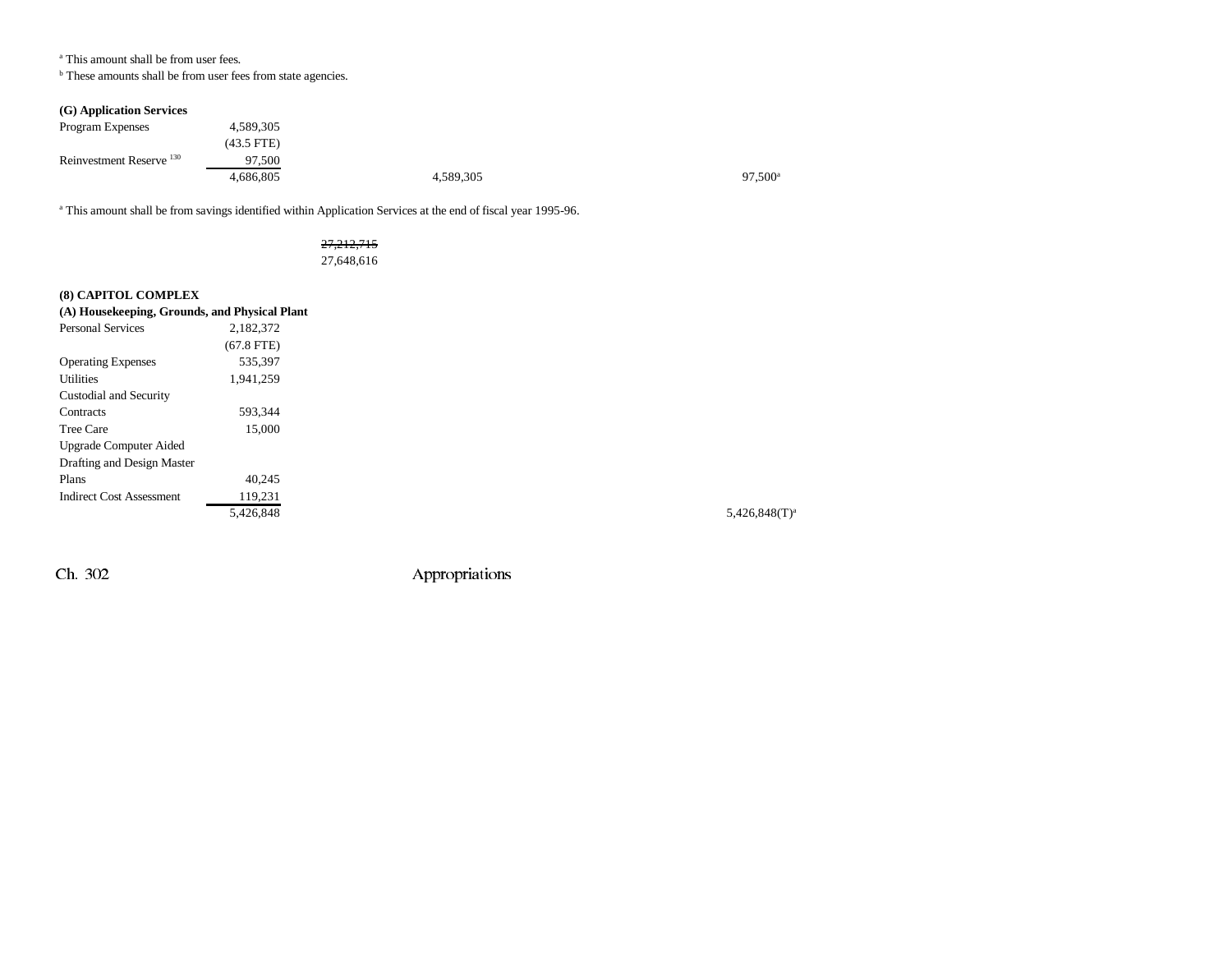#### a This amount shall be from user fees.

 $^{\rm b}$  These amounts shall be from user fees from state agencies.

### **(G) Application Services**

| Program Expenses                    | 4,589,305    |           |                  |
|-------------------------------------|--------------|-----------|------------------|
|                                     | $(43.5$ FTE) |           |                  |
| Reinvestment Reserve <sup>130</sup> | 97.500       |           |                  |
|                                     | 4.686.805    | 4,589,305 | $97,500^{\circ}$ |

a This amount shall be from savings identified within Application Services at the end of fiscal year 1995-96.

### 27,212,715 27,648,616

### **(8) CAPITOL COMPLEX**

| (A) Housekeeping, Grounds, and Physical Plant |              |
|-----------------------------------------------|--------------|
| <b>Personal Services</b>                      | 2.182.372    |
|                                               | $(67.8$ FTE) |
| <b>Operating Expenses</b>                     | 535.397      |
| Utilities                                     | 1.941.259    |
| Custodial and Security                        |              |
| Contracts                                     | 593.344      |
| Tree Care                                     | 15.000       |
| <b>Upgrade Computer Aided</b>                 |              |
| Drafting and Design Master                    |              |
| Plans                                         | 40.245       |
| <b>Indirect Cost Assessment</b>               | 119,231      |
|                                               | 5,426,848    |

 $5,426,848$ (T)<sup>a</sup>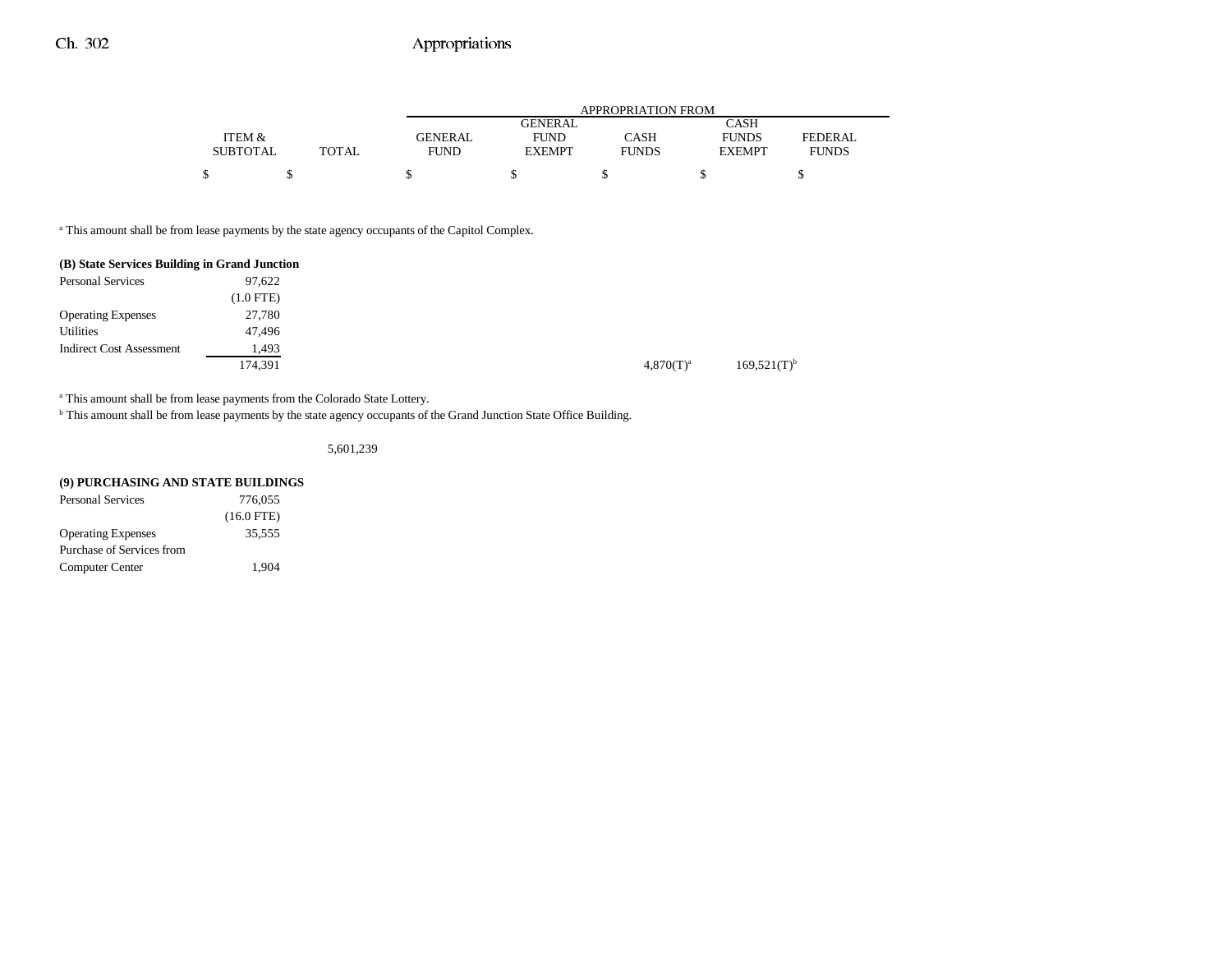|                 |              |             | APPROPRIATION FROM |              |               |                |  |
|-----------------|--------------|-------------|--------------------|--------------|---------------|----------------|--|
|                 |              |             | <b>GENERAL</b>     |              | <b>CASH</b>   |                |  |
| ITEM &          |              | GENERAL     | <b>FUND</b>        | CASH         | <b>FUNDS</b>  | <b>FEDERAL</b> |  |
| <b>SUBTOTAL</b> | <b>TOTAL</b> | <b>FUND</b> | <b>EXEMPT</b>      | <b>FUNDS</b> | <b>EXEMPT</b> | <b>FUNDS</b>   |  |
|                 |              |             |                    |              |               |                |  |
|                 |              |             |                    |              |               |                |  |

<sup>a</sup> This amount shall be from lease payments by the state agency occupants of the Capitol Complex.

| (B) State Services Building in Grand Junction |             |
|-----------------------------------------------|-------------|
| <b>Personal Services</b>                      | 97.622      |
|                                               | $(1.0$ FTE) |
| <b>Operating Expenses</b>                     | 27,780      |
| Utilities                                     | 47,496      |
| <b>Indirect Cost Assessment</b>               | 1,493       |
|                                               | 174,391     |

<sup>a</sup> This amount shall be from lease payments from the Colorado State Lottery.

b This amount shall be from lease payments by the state agency occupants of the Grand Junction State Office Building.

5,601,239

| (9) PURCHASING AND STATE BUILDINGS |              |
|------------------------------------|--------------|
| <b>Personal Services</b>           | 776.055      |
|                                    | $(16.0$ FTE) |
| <b>Operating Expenses</b>          | 35.555       |

Computer Center 1,904

Purchase of Services from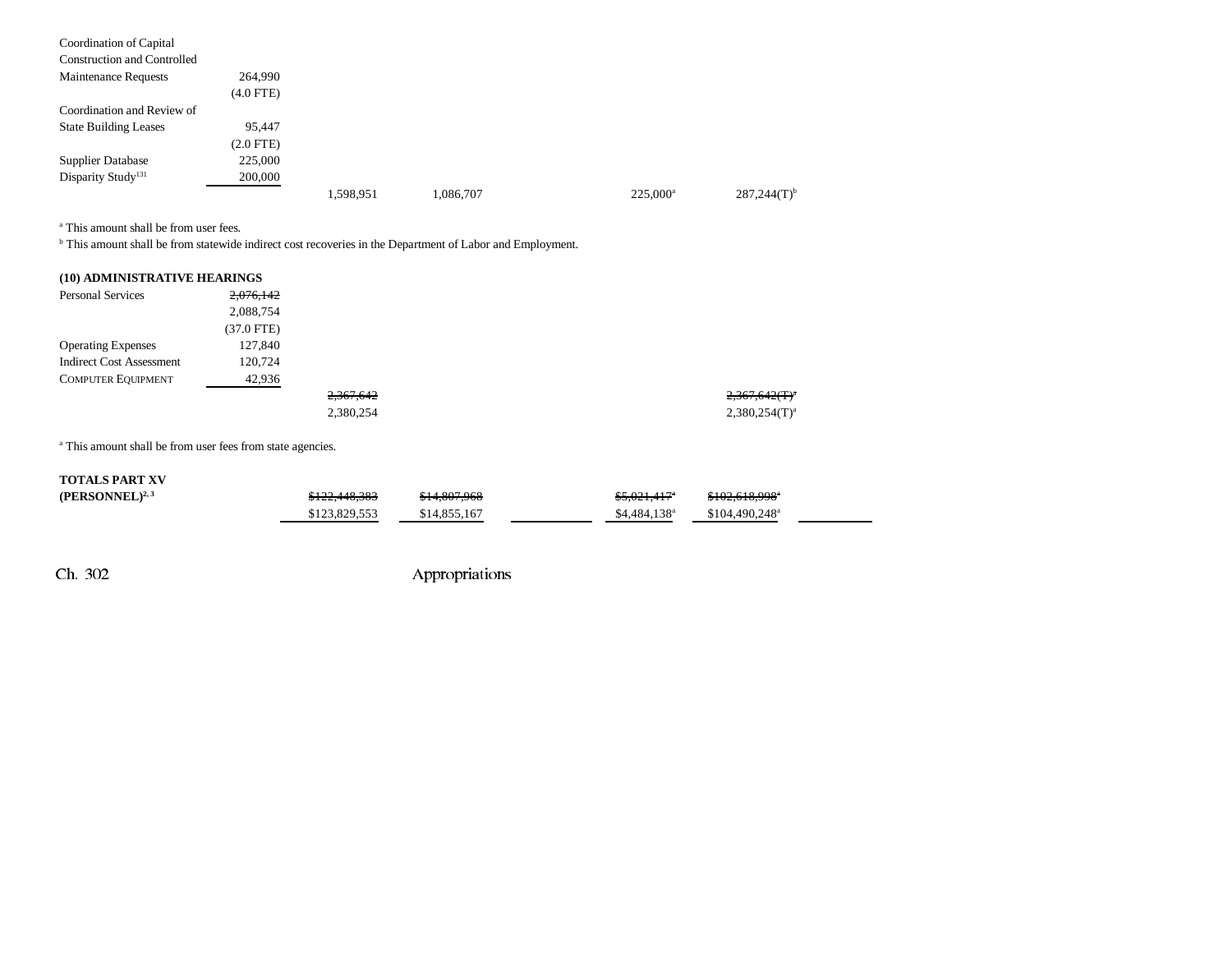| Coordination of Capital            |                |           |           |             |                           |
|------------------------------------|----------------|-----------|-----------|-------------|---------------------------|
| <b>Construction and Controlled</b> |                |           |           |             |                           |
| <b>Maintenance Requests</b>        | 264,990        |           |           |             |                           |
|                                    | $(4.0$ FTE $)$ |           |           |             |                           |
| Coordination and Review of         |                |           |           |             |                           |
| <b>State Building Leases</b>       | 95.447         |           |           |             |                           |
|                                    | (2.0 FTE)      |           |           |             |                           |
| <b>Supplier Database</b>           | 225,000        |           |           |             |                           |
| Disparity Study <sup>131</sup>     | 200,000        |           |           |             |                           |
|                                    |                | 1,598,951 | 1,086,707 | $225.000^a$ | $287,244(T)$ <sup>b</sup> |

a This amount shall be from user fees.

b This amount shall be from statewide indirect cost recoveries in the Department of Labor and Employment.

| (10) ADMINISTRATIVE HEARINGS    |            |           |
|---------------------------------|------------|-----------|
| <b>Personal Services</b>        | 2,076,142  |           |
|                                 | 2,088,754  |           |
|                                 | (37.0 FTE) |           |
| <b>Operating Expenses</b>       | 127,840    |           |
| <b>Indirect Cost Assessment</b> | 120.724    |           |
| <b>COMPUTER EQUIPMENT</b>       | 42,936     |           |
|                                 |            | 2,367,642 |
|                                 |            | 2,380,254 |

<sup>a</sup> This amount shall be from user fees from state agencies.

| <b>TOTALS PART XV</b> |               |              |                           |                             |  |
|-----------------------|---------------|--------------|---------------------------|-----------------------------|--|
| $(PERSONNEL)^{2,3}$   | \$122,448,383 | \$14,807,968 | $$5.021.417$ <sup>*</sup> | \$102,618,998°              |  |
|                       | \$123,829,553 | \$14,855,167 | \$4,484,138 <sup>a</sup>  | $$104.490.248$ <sup>a</sup> |  |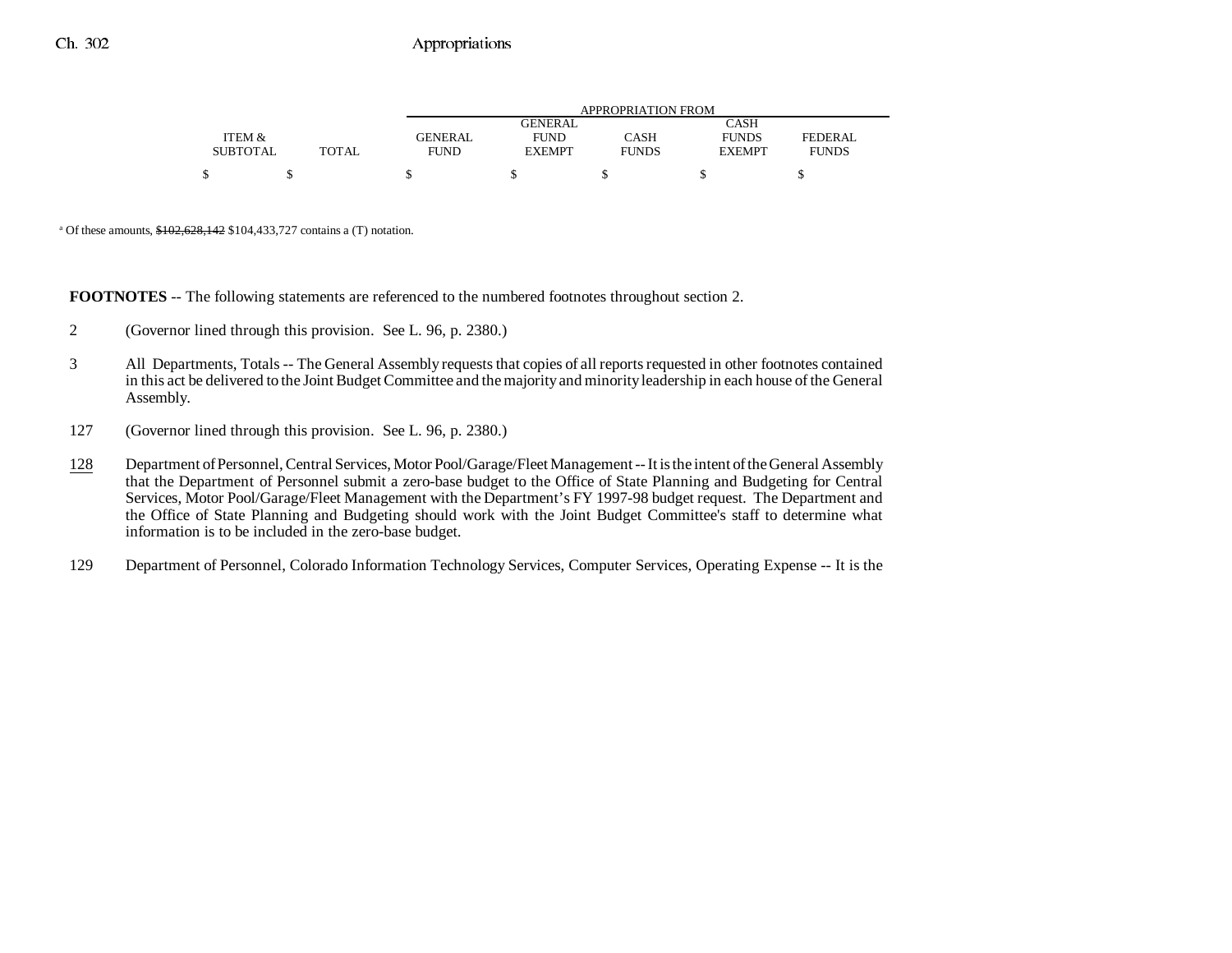|                 |       | <b>APPROPRIATION FROM</b> |                |              |               |              |
|-----------------|-------|---------------------------|----------------|--------------|---------------|--------------|
|                 |       |                           | <b>GENERAL</b> |              | CASH          |              |
| ITEM &          |       | GENERAL                   | <b>FUND</b>    | CASH         | <b>FUNDS</b>  | FEDERAL      |
| <b>SUBTOTAL</b> | TOTAL | <b>FUND</b>               | <b>EXEMPT</b>  | <b>FUNDS</b> | <b>EXEMPT</b> | <b>FUNDS</b> |
| \$              |       |                           |                |              |               |              |

<sup>a</sup> Of these amounts,  $$102,628,142$  \$104,433,727 contains a (T) notation.

**FOOTNOTES** -- The following statements are referenced to the numbered footnotes throughout section 2.

- 2 (Governor lined through this provision. See L. 96, p. 2380.)
- 3 All Departments, Totals -- The General Assembly requests that copies of all reports requested in other footnotes contained in this act be delivered to the Joint Budget Committee and the majority and minority leadership in each house of the General Assembly.
- 127 (Governor lined through this provision. See L. 96, p. 2380.)
- 128 Department of Personnel, Central Services, Motor Pool/Garage/Fleet Management -- It is the intent of the General Assembly that the Department of Personnel submit a zero-base budget to the Office of State Planning and Budgeting for Central Services, Motor Pool/Garage/Fleet Management with the Department's FY 1997-98 budget request. The Department and the Office of State Planning and Budgeting should work with the Joint Budget Committee's staff to determine what information is to be included in the zero-base budget.
- 129 Department of Personnel, Colorado Information Technology Services, Computer Services, Operating Expense -- It is the